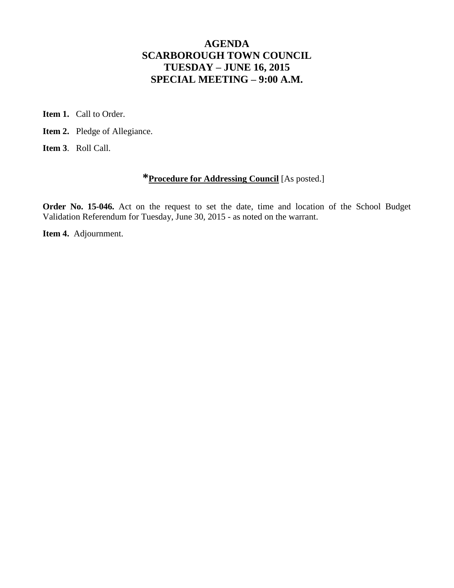# **AGENDA SCARBOROUGH TOWN COUNCIL TUESDAY – JUNE 16, 2015 SPECIAL MEETING – 9:00 A.M.**

**Item 1.** Call to Order.

**Item 2.** Pledge of Allegiance.

**Item 3**. Roll Call.

## **\*Procedure for Addressing Council** [As posted.]

**Order No. 15-046.** Act on the request to set the date, time and location of the School Budget Validation Referendum for Tuesday, June 30, 2015 - as noted on the warrant.

**Item 4.** Adjournment.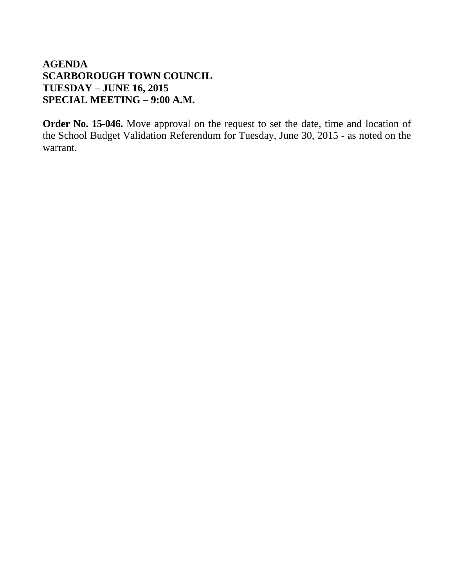# **AGENDA SCARBOROUGH TOWN COUNCIL TUESDAY – JUNE 16, 2015 SPECIAL MEETING – 9:00 A.M.**

**Order No. 15-046.** Move approval on the request to set the date, time and location of the School Budget Validation Referendum for Tuesday, June 30, 2015 - as noted on the warrant.